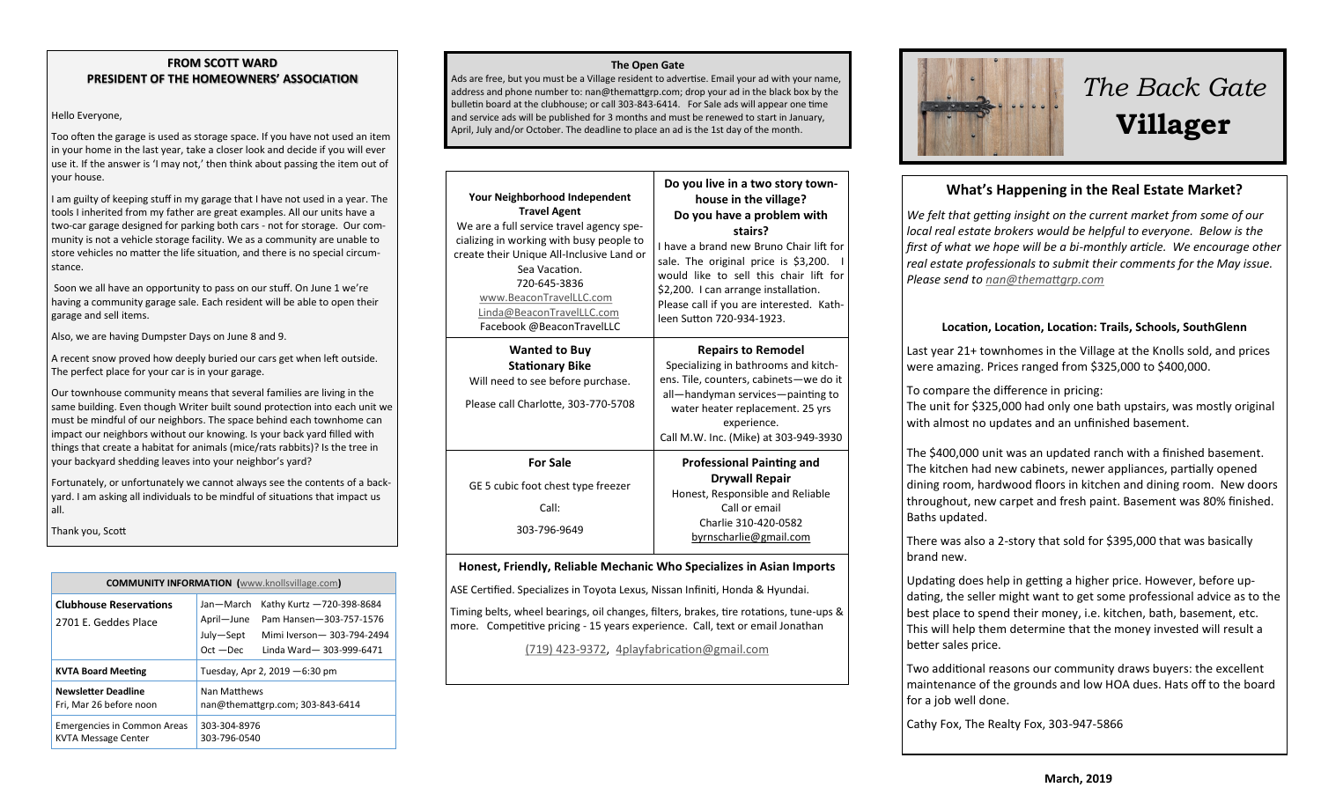#### **FROM SCOTT WARD PRESIDENT OF THE HOMEOWNERS' ASSOCIATION**

#### Hello Everyone,

Too often the garage is used as storage space. If you have not used an item in your home in the last year, take a closer look and decide if you will ever use it. If the answer is 'I may not,' then think about passing the item out of your house.

I am guilty of keeping stuff in my garage that I have not used in a year. The tools I inherited from my father are great examples. All our units have a two-car garage designed for parking both cars - not for storage. Our community is not a vehicle storage facility. We as a community are unable to store vehicles no matter the life situation, and there is no special circumstance.

Soon we all have an opportunity to pass on our stuff. On June 1 we're having a community garage sale. Each resident will be able to open their garage and sell items.

Also, we are having Dumpster Days on June 8 and 9.

A recent snow proved how deeply buried our cars get when left outside. The perfect place for your car is in your garage.

Our townhouse community means that several families are living in the same building. Even though Writer built sound protection into each unit we must be mindful of our neighbors. The space behind each townhome can impact our neighbors without our knowing. Is your back yard filled with things that create a habitat for animals (mice/rats rabbits)? Is the tree in your backyard shedding leaves into your neighbor's yard?

Fortunately, or unfortunately we cannot always see the contents of a backyard. I am asking all individuals to be mindful of situations that impact us all.

Thank you, Scott

| <b>COMMUNITY INFORMATION</b> (www.knollsvillage.com)             |                                                     |                                                                                                                |
|------------------------------------------------------------------|-----------------------------------------------------|----------------------------------------------------------------------------------------------------------------|
| <b>Clubhouse Reservations</b><br>2701 E. Geddes Place            | Jan-March<br>April-June<br>July-Sept<br>$Oct - Dec$ | Kathy Kurtz -720-398-8684<br>Pam Hansen-303-757-1576<br>Mimi Iverson - 303-794-2494<br>Linda Ward-303-999-6471 |
| <b>KVTA Board Meeting</b>                                        | Tuesday, Apr 2, 2019 - 6:30 pm                      |                                                                                                                |
| <b>Newsletter Deadline</b><br>Fri, Mar 26 before noon            | Nan Matthews<br>nan@themattgrp.com; 303-843-6414    |                                                                                                                |
| <b>Emergencies in Common Areas</b><br><b>KVTA Message Center</b> | 303-304-8976<br>303-796-0540                        |                                                                                                                |

#### **The Open Gate**

Ads are free, but you must be a Village resident to advertise. Email your ad with your name, address and phone number to: nan@themattgrp.com; drop your ad in the black box by the bulletin board at the clubhouse; or call 303-843-6414. For Sale ads will appear one time and service ads will be published for 3 months and must be renewed to start in January, April, July and/or October. The deadline to place an ad is the 1st day of the month.

| <b>Your Neighborhood Independent</b><br><b>Travel Agent</b><br>We are a full service travel agency spe-<br>cializing in working with busy people to<br>create their Unique All-Inclusive Land or<br>Sea Vacation.<br>720-645-3836<br>www.BeaconTravelLLC.com<br>Linda@BeaconTravelLLC.com<br>Facebook @BeaconTravelLLC | Do you live in a two story town-<br>house in the village?<br>Do you have a problem with<br>stairs?<br>I have a brand new Bruno Chair lift for<br>sale. The original price is \$3,200.<br>would like to sell this chair lift for<br>\$2,200. I can arrange installation.<br>Please call if you are interested. Kath-<br>leen Sutton 720-934-1923. |
|------------------------------------------------------------------------------------------------------------------------------------------------------------------------------------------------------------------------------------------------------------------------------------------------------------------------|--------------------------------------------------------------------------------------------------------------------------------------------------------------------------------------------------------------------------------------------------------------------------------------------------------------------------------------------------|
| <b>Wanted to Buy</b><br><b>Stationary Bike</b><br>Will need to see before purchase.<br>Please call Charlotte, 303-770-5708                                                                                                                                                                                             | <b>Repairs to Remodel</b><br>Specializing in bathrooms and kitch-<br>ens. Tile, counters, cabinets-we do it<br>all-handyman services-painting to<br>water heater replacement. 25 yrs<br>experience.<br>Call M.W. Inc. (Mike) at 303-949-3930                                                                                                     |
| <b>For Sale</b><br>GE 5 cubic foot chest type freezer<br>Call:<br>303-796-9649                                                                                                                                                                                                                                         | <b>Professional Painting and</b><br><b>Drywall Repair</b><br>Honest, Responsible and Reliable<br>Call or email<br>Charlie 310-420-0582<br>byrnscharlie@gmail.com                                                                                                                                                                                 |

#### **Honest, Friendly, Reliable Mechanic Who Specializes in Asian Imports**

ASE Certified. Specializes in Toyota Lexus, Nissan Infiniti, Honda & Hyundai.

Timing belts, wheel bearings, oil changes, filters, brakes, tire rotations, tune-ups & more. Competitive pricing - 15 years experience. Call, text or email Jonathan

[\(719\) 423](tel:(719)%20423-9372)-9372, [4playfabrication@gmail.com](mailto:4playfabrication@gmail.com)



# *The Back Gate*  **Villager**

## **What's Happening in the Real Estate Market?**

*We felt that getting insight on the current market from some of our local real estate brokers would be helpful to everyone. Below is the first of what we hope will be a bi-monthly article. We encourage other real estate professionals to submit their comments for the May issue. Please send to [nan@themattgrp.com](mailto:nan@themattgrp.com)*

#### **Location, Location, Location: Trails, Schools, SouthGlenn**

Last year 21+ townhomes in the Village at the Knolls sold, and prices were amazing. Prices ranged from \$325,000 to \$400,000.

To compare the difference in pricing:

The unit for \$325,000 had only one bath upstairs, was mostly original with almost no updates and an unfinished basement.

The \$400,000 unit was an updated ranch with a finished basement. The kitchen had new cabinets, newer appliances, partially opened dining room, hardwood floors in kitchen and dining room. New doors throughout, new carpet and fresh paint. Basement was 80% finished. Baths updated.

There was also a 2-story that sold for \$395,000 that was basically brand new.

Updating does help in getting a higher price. However, before updating, the seller might want to get some professional advice as to the best place to spend their money, i.e. kitchen, bath, basement, etc. This will help them determine that the money invested will result a better sales price.

Two additional reasons our community draws buyers: the excellent maintenance of the grounds and low HOA dues. Hats off to the board for a job well done.

Cathy Fox, The Realty Fox, 303-947-5866